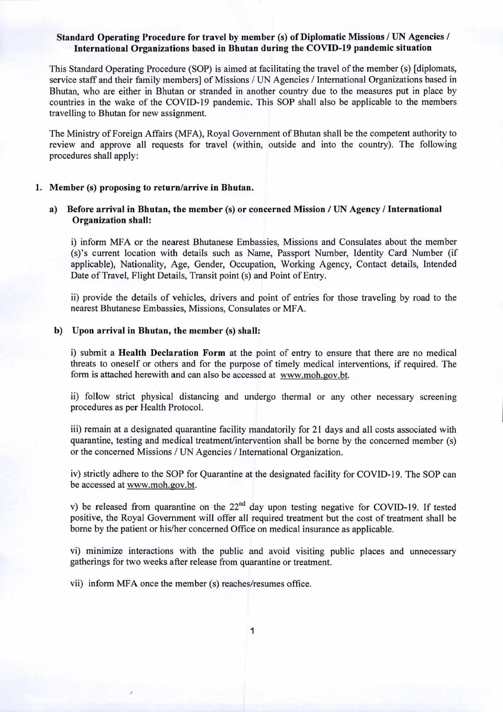# **Standard Operating Procedure for travel** by **member** (s) of Diplomatic Missions / UN **Agencies / International Organizations based in Bhutan during the COVED-19 pandemic situation**

This Standard Operating Procedure (SOP) is aimed at facilitating the travel of the member (s) [diplomats, service staff and their family members] of Missions / UN Agencies / International Organizations based in Bhutan, who are either in Bhutan or stranded in another country due to the measures put in place by countries in the wake of the COVID-19 pandemic. This SOP shall also be applicable to the members travelling to Bhutan for new assignment.

The Ministry of Foreign Affairs (MFA), Royal Government of Bhutan shall be the competent authority to review and approve all requests for travel (within, outside and into the country). The following procedures shall apply:

### **1. Member** (s) **proposing to return/arrive in Bhutan.**

## **a) Before arrival in Bhutan, the member** (s) **or concerned Mission** / UN **Agency** / **International Organization shall:**

i) inform MFA or the nearest Bhutanese Embassies, Missions and Consulates about the member (s)'s current location with details such as Name, Passport Number, Identity Card Number (if applicable), Nationality, Age, Gender, Occupation, Working Agency, Contact details, Intended Date of Travel, Flight Details, Transit point (s) and Point of Entry.

ii) provide the details of vehicles, drivers and point of entries for those traveling by road to the nearest Bhutanese Embassies, Missions, Consulates or MFA.

## **b) Upon arrival in Bhutan, the member** (s) **shall:**

i) submit a **Health Declaration Form** at the point of entry to ensure that there are no medical threats to oneself or others and for the purpose of timely medical interventions, if required. The form is attached herewith and can also be accessed at www.moh.gov.bt.

ii) follow strict physical distancing and undergo thermal or any other necessary screening procedures as per Health Protocol.

iii) remain at a designated quarantine facility mandatorily for 21 days and all costs associated with quarantine, testing and medical treatment/intervention shall be borne by the concerned member (s) or the concerned Missions / UN Agencies / International Organization.

iv) strictly adhere to the SOP for Quarantine at the designated facility for COVID-19. The SOP can be accessed at www.moh.gov.bt.

v) be released from quarantine on the  $22<sup>nd</sup>$  day upon testing negative for COVID-19. If tested positive, the Royal Government will offer all required treatment but the cost of treatment shall be borne by the patient or his/her concerned Office on medical insurance as applicable.

vi) minimize interactions with the public and avoid visiting public places and unnecessary gatherings for two weeks after release from quarantine or treatment.

vii) inform MFA once the member (s) reaches/resumes office.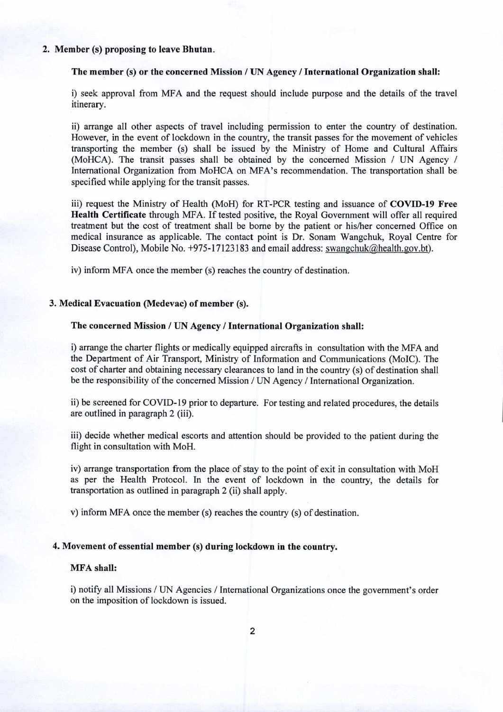#### 2. Member (s) **proposing to leave Bhutan.**

## **The member** (s) or the concerned Mission / UN **Agency** / **International Organization shall:**

i) seek approval from MFA and the request should include purpose and the details of the travel itinerary.

ii) arrange all other aspects of travel including permission to enter the country of destination. However, in the event of lockdown in the country, the transit passes for the movement of vehicles transporting the member (s) shall be issued by the Ministry of Home and Cultural Affairs (MoHCA). The transit passes shall be obtained by the concerned Mission / UN Agency / International Organization from MoHCA on MFA's recommendation. The transportation shall be specified while applying for the transit passes.

iii) request the Ministry of Health (MoH) for RT-PCR testing and issuance of **COVID-19 Free Health Certificate** through MFA. If tested positive, the Royal Government will offer all required treatment but the cost of treatment shall be borne by the patient or his/her concerned Office on medical insurance as applicable. The contact point is Dr. Sonam Wangchuk, Royal Centre for Disease Control), Mobile No.  $+975-17123183$  and email address: swangchuk@health.gov.bt).

iv) inform MFA once the member (s) reaches the country of destination.

### **3. Medical Evacuation (Medevac) of member** (s).

### **The concerned Mission** / UN **Agency** / **International Organization shall:**

i) arrange the charter flights or medically equipped aircrafts in consultation with the MFA and the Department of Air Transport, Ministry of Information and Communications (MoIC). The cost of charter and obtaining necessary clearances to land in the country (s) of destination shall be the responsibility of the concerned Mission / UN Agency / International Organization.

ii) be screened for COVID-19 prior to departure. For testing and related procedures, the details are outlined in paragraph 2 (iii).

iii) decide whether medical escorts and attention should be provided to the patient during the flight in consultation with MoH.

iv) arrange transportation from the place of stay to the point of exit in consultation with MoH as per the Health Protocol. In the event of lockdown in the country, the details for transportation as outlined in paragraph 2 (ii) shall apply.

v) inform MFA once the member (s) reaches the country (s) of destination.

## **4. Movement of essential member** (s) **during lockdown in the country.**

#### **MFA shall:**

i) notify all Missions / UN Agencies / International Organizations once the government's order on the imposition of lockdown is issued.